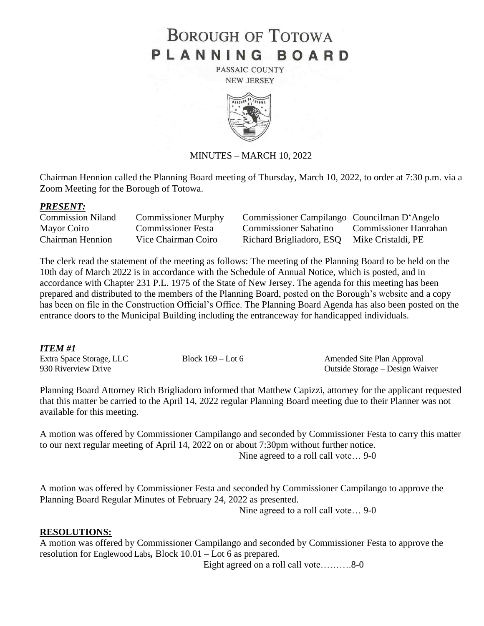# **BOROUGH OF TOTOWA** PLANNING BOARD

PASSAIC COUNTY **NEW JERSEY** 



### MINUTES – MARCH 10, 2022

Chairman Hennion called the Planning Board meeting of Thursday, March 10, 2022, to order at 7:30 p.m. via a Zoom Meeting for the Borough of Totowa.

#### *PRESENT:*

| <b>Commission Niland</b> | <b>Commissioner Murphy</b> | Commissioner Campilango Councilman D'Angelo |                       |
|--------------------------|----------------------------|---------------------------------------------|-----------------------|
| Mayor Coiro              | <b>Commissioner Festa</b>  | <b>Commissioner Sabatino</b>                | Commissioner Hanrahan |
| <b>Chairman Hennion</b>  | Vice Chairman Coiro        | Richard Brigliadoro, ESQ Mike Cristaldi, PE |                       |

The clerk read the statement of the meeting as follows: The meeting of the Planning Board to be held on the 10th day of March 2022 is in accordance with the Schedule of Annual Notice, which is posted, and in accordance with Chapter 231 P.L. 1975 of the State of New Jersey. The agenda for this meeting has been prepared and distributed to the members of the Planning Board, posted on the Borough's website and a copy has been on file in the Construction Official's Office. The Planning Board Agenda has also been posted on the entrance doors to the Municipal Building including the entranceway for handicapped individuals.

### *ITEM #1*

| ---------                |                     |                                 |
|--------------------------|---------------------|---------------------------------|
| Extra Space Storage, LLC | Block $169 -$ Lot 6 | Amended Site Plan Approval      |
| 930 Riverview Drive      |                     | Outside Storage – Design Waiver |

Planning Board Attorney Rich Brigliadoro informed that Matthew Capizzi, attorney for the applicant requested that this matter be carried to the April 14, 2022 regular Planning Board meeting due to their Planner was not available for this meeting.

A motion was offered by Commissioner Campilango and seconded by Commissioner Festa to carry this matter to our next regular meeting of April 14, 2022 on or about 7:30pm without further notice. Nine agreed to a roll call vote… 9-0

A motion was offered by Commissioner Festa and seconded by Commissioner Campilango to approve the Planning Board Regular Minutes of February 24, 2022 as presented.

Nine agreed to a roll call vote… 9-0

### **RESOLUTIONS:**

A motion was offered by Commissioner Campilango and seconded by Commissioner Festa to approve the resolution for Englewood Labs*,* Block 10.01 – Lot 6 as prepared.

Eight agreed on a roll call vote……….8-0